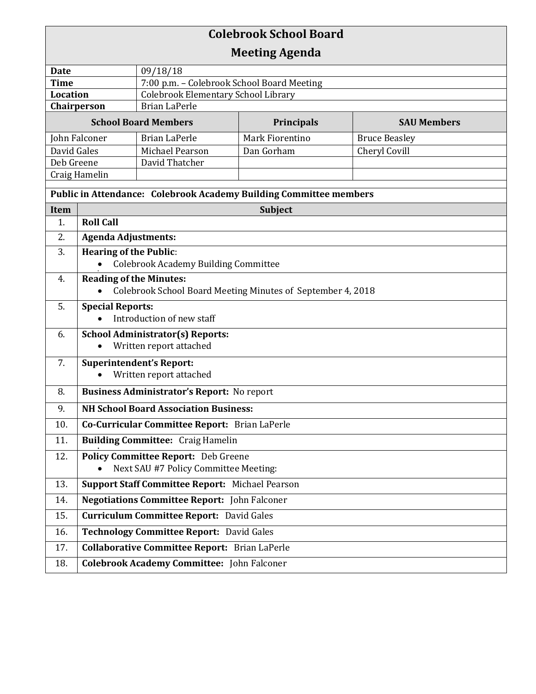| <b>Colebrook School Board</b>                                             |                                                                                               |                                            |                                     |                      |  |  |
|---------------------------------------------------------------------------|-----------------------------------------------------------------------------------------------|--------------------------------------------|-------------------------------------|----------------------|--|--|
|                                                                           |                                                                                               |                                            | <b>Meeting Agenda</b>               |                      |  |  |
| 09/18/18<br><b>Date</b>                                                   |                                                                                               |                                            |                                     |                      |  |  |
| <b>Time</b>                                                               |                                                                                               | 7:00 p.m. - Colebrook School Board Meeting |                                     |                      |  |  |
| <b>Location</b>                                                           |                                                                                               |                                            | Colebrook Elementary School Library |                      |  |  |
| <b>Brian LaPerle</b><br>Chairperson                                       |                                                                                               |                                            |                                     |                      |  |  |
| <b>School Board Members</b>                                               |                                                                                               | <b>Principals</b>                          | <b>SAU Members</b>                  |                      |  |  |
| John Falconer                                                             |                                                                                               | <b>Brian LaPerle</b>                       | Mark Fiorentino                     | <b>Bruce Beasley</b> |  |  |
| David Gales                                                               |                                                                                               | Michael Pearson                            | Dan Gorham                          | Cheryl Covill        |  |  |
| Deb Greene                                                                |                                                                                               | David Thatcher                             |                                     |                      |  |  |
| Craig Hamelin                                                             |                                                                                               |                                            |                                     |                      |  |  |
| <b>Public in Attendance: Colebrook Academy Building Committee members</b> |                                                                                               |                                            |                                     |                      |  |  |
| Item                                                                      |                                                                                               |                                            | <b>Subject</b>                      |                      |  |  |
| 1.                                                                        | <b>Roll Call</b>                                                                              |                                            |                                     |                      |  |  |
| 2.                                                                        | <b>Agenda Adjustments:</b>                                                                    |                                            |                                     |                      |  |  |
| 3.                                                                        | <b>Hearing of the Public:</b><br><b>Colebrook Academy Building Committee</b>                  |                                            |                                     |                      |  |  |
| 4.                                                                        | <b>Reading of the Minutes:</b><br>Colebrook School Board Meeting Minutes of September 4, 2018 |                                            |                                     |                      |  |  |
| 5.                                                                        | <b>Special Reports:</b><br>Introduction of new staff                                          |                                            |                                     |                      |  |  |
| 6.                                                                        | <b>School Administrator(s) Reports:</b><br>Written report attached<br>$\bullet$               |                                            |                                     |                      |  |  |
| 7.                                                                        | <b>Superintendent's Report:</b><br>Written report attached                                    |                                            |                                     |                      |  |  |
| 8.                                                                        | <b>Business Administrator's Report:</b> No report                                             |                                            |                                     |                      |  |  |
| 9.                                                                        | <b>NH School Board Association Business:</b>                                                  |                                            |                                     |                      |  |  |
| 10.<br>11.                                                                | Co-Curricular Committee Report: Brian LaPerle<br><b>Building Committee: Craig Hamelin</b>     |                                            |                                     |                      |  |  |
|                                                                           |                                                                                               |                                            |                                     |                      |  |  |
| 12.                                                                       | <b>Policy Committee Report:</b> Deb Greene<br>Next SAU #7 Policy Committee Meeting:           |                                            |                                     |                      |  |  |
| 13.                                                                       | <b>Support Staff Committee Report: Michael Pearson</b>                                        |                                            |                                     |                      |  |  |
| 14.                                                                       | <b>Negotiations Committee Report:</b> John Falconer                                           |                                            |                                     |                      |  |  |
| 15.                                                                       | <b>Curriculum Committee Report: David Gales</b>                                               |                                            |                                     |                      |  |  |
| 16.                                                                       | <b>Technology Committee Report: David Gales</b>                                               |                                            |                                     |                      |  |  |
| 17.                                                                       | <b>Collaborative Committee Report:</b> Brian LaPerle                                          |                                            |                                     |                      |  |  |
| 18.                                                                       | <b>Colebrook Academy Committee:</b> John Falconer                                             |                                            |                                     |                      |  |  |